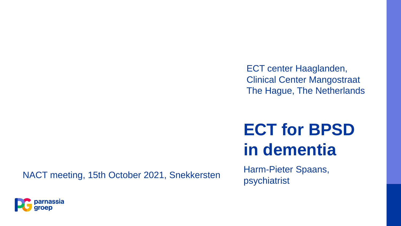ECT center Haaglanden, Clinical Center Mangostraat The Hague, The Netherlands

# **ECT for BPSD in dementia**

NACT meeting, 15th October 2021, Snekkersten

Harm-Pieter Spaans, psychiatrist

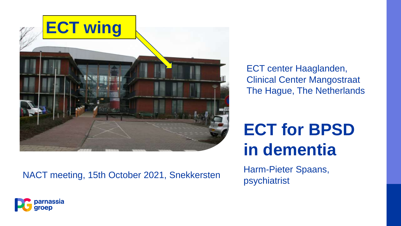

NACT meeting, 15th October 2021, Snekkersten

ECT center Haaglanden, Clinical Center Mangostraat The Hague, The Netherlands

# **ECT for BPSD in dementia**

Harm-Pieter Spaans, psychiatrist

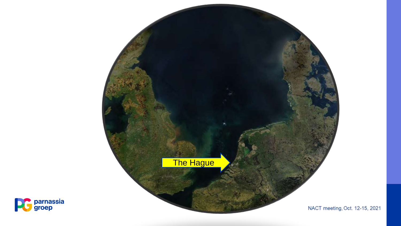



NACT meeting, Oct. 12-15, 2021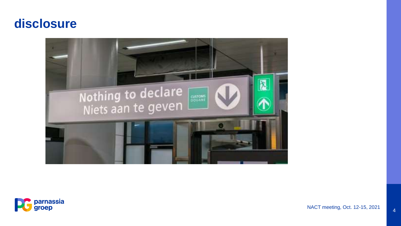#### **disclosure**





NACT meeting, Oct. 12-15, 2021 4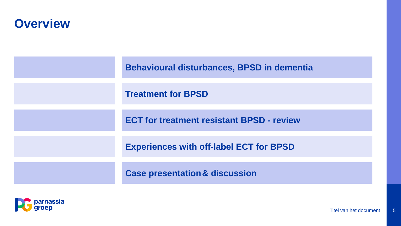#### **Overview**

| <b>Behavioural disturbances, BPSD in dementia</b> |
|---------------------------------------------------|
| <b>Treatment for BPSD</b>                         |
| <b>ECT for treatment resistant BPSD - review</b>  |
| <b>Experiences with off-label ECT for BPSD</b>    |
| <b>Case presentation &amp; discussion</b>         |

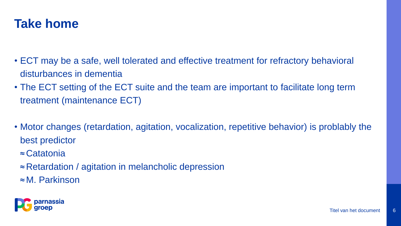

- ECT may be a safe, well tolerated and effective treatment for refractory behavioral disturbances in dementia
- The ECT setting of the ECT suite and the team are important to facilitate long term treatment (maintenance ECT)
- Motor changes (retardation, agitation, vocalization, repetitive behavior) is problably the best predictor
	- ≈ Catatonia
	- ≈ Retardation / agitation in melancholic depression
	- ≈ M. Parkinson

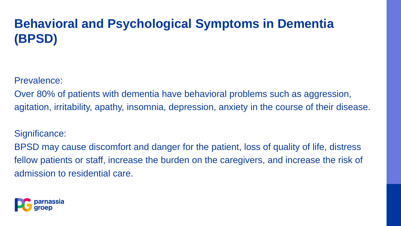# **Behavioral and Psychological Symptoms in Dementia (BPSD)**

Prevalence:

Over 80% of patients with dementia have behavioral problems such as aggression, agitation, irritability, apathy, insomnia, depression, anxiety in the course of their disease.

Significance:

BPSD may cause discomfort and danger for the patient, loss of quality of life, distress fellow patients or staff, increase the burden on the caregivers, and increase the risk of admission to residential care.

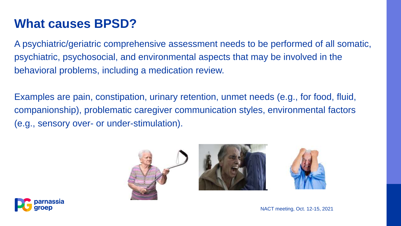## **What causes BPSD?**

A psychiatric/geriatric comprehensive assessment needs to be performed of all somatic, psychiatric, psychosocial, and environmental aspects that may be involved in the behavioral problems, including a medication review.

Examples are pain, constipation, urinary retention, unmet needs (e.g., for food, fluid, companionship), problematic caregiver communication styles, environmental factors (e.g., sensory over- or under-stimulation).







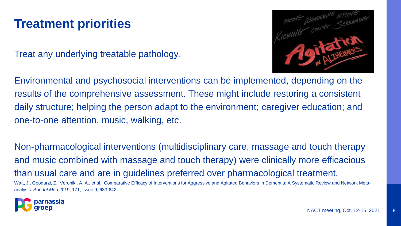### **Treatment priorities**

Treat any underlying treatable pathology.



Environmental and psychosocial interventions can be implemented, depending on the results of the comprehensive assessment. These might include restoring a consistent daily structure; helping the person adapt to the environment; caregiver education; and one-to-one attention, music, walking, etc.

Non-pharmacological interventions (multidisciplinary care, massage and touch therapy and music combined with massage and touch therapy) were clinically more efficacious than usual care and are in guidelines preferred over pharmacological treatment. Watt, J., Goodarzi, Z., Veroniki, A. A., et al. Comparative Efficacy of Interventions for Aggressive and Agitated Behaviors in Dementia: A Systematic Review and Network Metaanalysis. *Ann Int Med* 2019, 171, Issue 9, 633-642

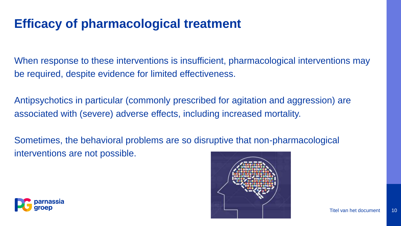#### **Efficacy of pharmacological treatment**

When response to these interventions is insufficient, pharmacological interventions may be required, despite evidence for limited effectiveness.

Antipsychotics in particular (commonly prescribed for agitation and aggression) are associated with (severe) adverse effects, including increased mortality.

Sometimes, the behavioral problems are so disruptive that non-pharmacological interventions are not possible.



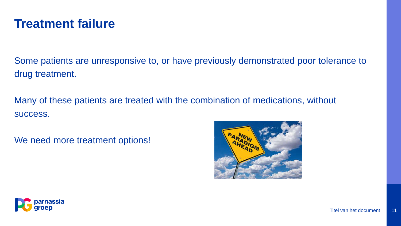#### **Treatment failure**

Some patients are unresponsive to, or have previously demonstrated poor tolerance to drug treatment.

Many of these patients are treated with the combination of medications, without success.

We need more treatment options!



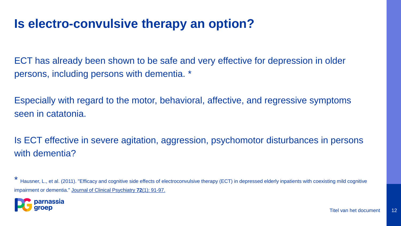#### **Is electro-convulsive therapy an option?**

ECT has already been shown to be safe and very effective for depression in older persons, including persons with dementia. \*

Especially with regard to the motor, behavioral, affective, and regressive symptoms seen in catatonia.

Is ECT effective in severe agitation, aggression, psychomotor disturbances in persons with dementia?

Hausner, L., et al. (2011). "Efficacy and cognitive side effects of electroconvulsive therapy (ECT) in depressed elderly inpatients with coexisting mild cognitive impairment or dementia." Journal of Clinical Psychiatry **72**(1): 91-97.

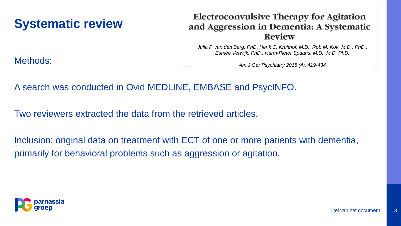### **Systematic review**

#### **Electroconvulsive Therapy for Agitation** and Aggression in Dementia: A Systematic **Review**

*Julia F. van den Berg, PhD, Henk C. Kruithof, M.D., Rob M. Kok, M.D., PhD., Esmée Verwijk, PhD., Harm-Pieter Spaans, M.D., M.D. PhD.*

*Am J Ger Psychiatry 2018 (4), 419-434*

A search was conducted in Ovid MEDLINE, EMBASE and PsycINFO.

Two reviewers extracted the data from the retrieved articles.

Inclusion: original data on treatment with ECT of one or more patients with dementia, primarily for behavioral problems such as aggression or agitation.



Methods: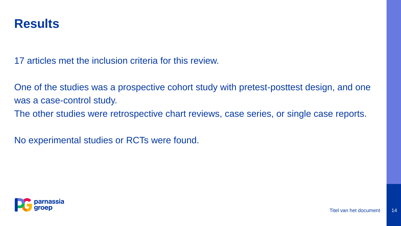

17 articles met the inclusion criteria for this review.

One of the studies was a prospective cohort study with pretest-posttest design, and one was a case-control study.

The other studies were retrospective chart reviews, case series, or single case reports.

No experimental studies or RCTs were found.

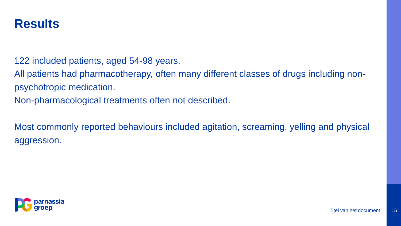

122 included patients, aged 54-98 years.

All patients had pharmacotherapy, often many different classes of drugs including nonpsychotropic medication.

Non-pharmacological treatments often not described.

Most commonly reported behaviours included agitation, screaming, yelling and physical aggression.

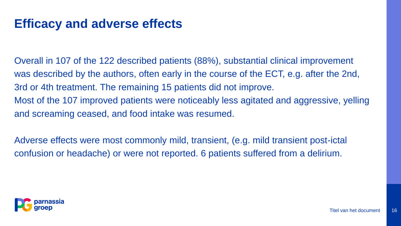#### **Efficacy and adverse effects**

Overall in 107 of the 122 described patients (88%), substantial clinical improvement was described by the authors, often early in the course of the ECT, e.g. after the 2nd, 3rd or 4th treatment. The remaining 15 patients did not improve. Most of the 107 improved patients were noticeably less agitated and aggressive, yelling and screaming ceased, and food intake was resumed.

Adverse effects were most commonly mild, transient, (e.g. mild transient post-ictal confusion or headache) or were not reported. 6 patients suffered from a delirium.

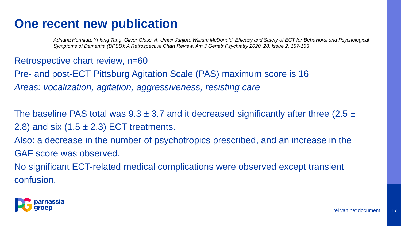#### **One recent new publication**

*Adriana Hermida, Yi-lang Tang, Oliver Glass, A. Umair Janjua, William McDonald. Efficacy and Safety of ECT for Behavioral and Psychological Symptoms of Dementia (BPSD): A Retrospective Chart Review. Am J Geriatr Psychiatry 2020, 28, Issue 2, 157-163*

#### Retrospective chart review, n=60

Pre- and post-ECT Pittsburg Agitation Scale (PAS) maximum score is 16 *Areas: vocalization, agitation, aggressiveness, resisting care*

The baseline PAS total was  $9.3 \pm 3.7$  and it decreased significantly after three (2.5  $\pm$ 2.8) and six  $(1.5 \pm 2.3)$  ECT treatments.

Also: a decrease in the number of psychotropics prescribed, and an increase in the GAF score was observed.

No significant ECT-related medical complications were observed except transient confusion.

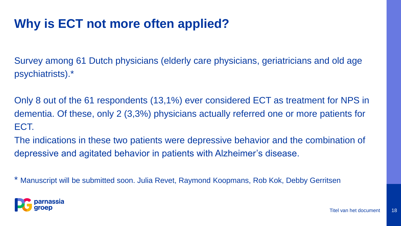## **Why is ECT not more often applied?**

Survey among 61 Dutch physicians (elderly care physicians, geriatricians and old age psychiatrists).\*

Only 8 out of the 61 respondents (13,1%) ever considered ECT as treatment for NPS in dementia. Of these, only 2 (3,3%) physicians actually referred one or more patients for ECT.

The indications in these two patients were depressive behavior and the combination of depressive and agitated behavior in patients with Alzheimer's disease.

\* Manuscript will be submitted soon. Julia Revet, Raymond Koopmans, Rob Kok, Debby Gerritsen

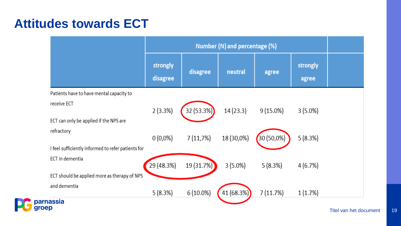#### **Attitudes towards ECT**

E

|                                                    | Number (N) and percentage (%) |             |            |             |                   |                  |
|----------------------------------------------------|-------------------------------|-------------|------------|-------------|-------------------|------------------|
|                                                    | strongly<br>disagree          | disagree    | neutral    | agree       | strongly<br>agree |                  |
| Patients have to have mental capacity to           |                               |             |            |             |                   |                  |
| receive ECT                                        | 2(3.3%)                       | 32 (53.3%)  | 14 (23.3)  | $9(15.0\%)$ | $3(5.0\%)$        |                  |
| ECT can only be applied if the NPS are             |                               |             |            |             |                   |                  |
| refractory                                         | $0(0,0\%)$                    | 7(11,7%)    | 18 (30,0%) | 30 (50,0%)  | 5(8.3%)           |                  |
| I feel sufficiently informed to refer patients for |                               |             |            |             |                   |                  |
| ECT in dementia                                    | 29 (48.3%)                    | 19 (31.7%)  | $3(5.0\%)$ | 5(8.3%)     | 4(6.7%)           |                  |
| ECT should be applied more as therapy of NPS       |                               |             |            |             |                   |                  |
| and dementia                                       | 5(8.3%)                       | $6(10.0\%)$ | 41 (68.3%) | 7(11.7%)    | 1(1.7%)           |                  |
| parnassia<br>groep                                 |                               |             |            |             |                   | Tital van hot de |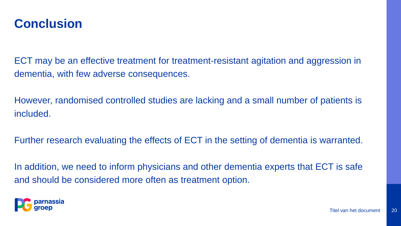

ECT may be an effective treatment for treatment-resistant agitation and aggression in dementia, with few adverse consequences.

However, randomised controlled studies are lacking and a small number of patients is included.

Further research evaluating the effects of ECT in the setting of dementia is warranted.

In addition, we need to inform physicians and other dementia experts that ECT is safe and should be considered more often as treatment option.

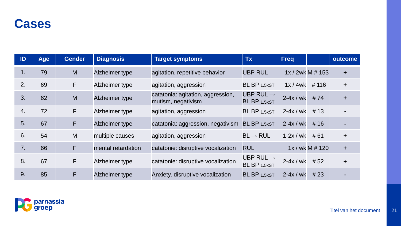

| ID               | <b>Age</b> | <b>Gender</b> | <b>Diagnosis</b>   | <b>Target symptoms</b>                                  | <b>Tx</b>                             | <b>Freq</b> |                  | outcome              |
|------------------|------------|---------------|--------------------|---------------------------------------------------------|---------------------------------------|-------------|------------------|----------------------|
| 1.               | 79         | M             | Alzheimer type     | agitation, repetitive behavior                          | <b>UBP RUL</b>                        |             | 1x / 2wk M # 153 | $\ddot{}$            |
| 2.               | 69         | F             | Alzheimer type     | agitation, aggression                                   | BL BP 1.5xST                          | 1x/4wk      | # 116            | $\ddagger$           |
| 3.               | 62         | M             | Alzheimer type     | catatonia: agitation, aggression,<br>mutism, negativism | UBP RUL $\rightarrow$<br>BL BP 1.5xST | $2-4x$ / wk | #74              | $\ddot{}$            |
| $\overline{4}$ . | 72         | F             | Alzheimer type     | agitation, aggression                                   | BL BP 1.5xST                          | $2-4x/wk$   | # 13             |                      |
| 5.               | 67         | F             | Alzheimer type     | catatonia: aggression, negativism                       | BL BP 1.5xST                          | $2-4x$ / wk | # 16             |                      |
| 6.               | 54         | M             | multiple causes    | agitation, aggression                                   | $BL \rightarrow RUL$                  | $1-2x/wk$   | # 61             | $\ddagger$           |
| 7.               | 66         | F             | mental retardation | catatonie: disruptive vocalization                      | <b>RUL</b>                            |             | 1x / wk M # 120  | $\ddot{\phantom{1}}$ |
| 8.               | 67         | F             | Alzheimer type     | catatonie: disruptive vocalization                      | UBP RUL $\rightarrow$<br>BL BP 1.5xST | $2-4x/wk$   | #52              | $\ddot{\phantom{1}}$ |
| 9.               | 85         | F             | Alzheimer type     | Anxiety, disruptive vocalization                        | BL BP 1.5xST                          | $2-4x$ / wk | #23              | $\blacksquare$       |

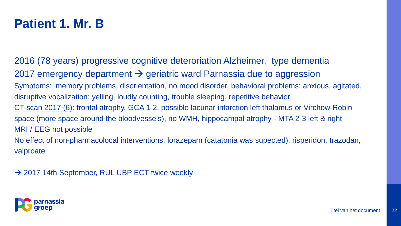### **Patient 1. Mr. B**

2016 (78 years) progressive cognitive deteroriation Alzheimer, type dementia 2017 emergency department  $\rightarrow$  geriatric ward Parnassia due to aggression Symptoms: memory problems, disorientation, no mood disorder, behavioral problems: anxious, agitated, disruptive vocalization: yelling, loudly counting, trouble sleeping, repetitive behavior CT-scan 2017 (6): frontal atrophy, GCA 1-2, possible lacunar infarction left thalamus or Virchow-Robin space (more space around the bloodvessels), no WMH, hippocampal atrophy - MTA 2-3 left & right MRI / EEG not possible No effect of non-pharmacolocal interventions, lorazepam (catatonia was supected), risperidon, trazodan, valproate

 $\rightarrow$  2017 14th September, RUL UBP ECT twice weekly

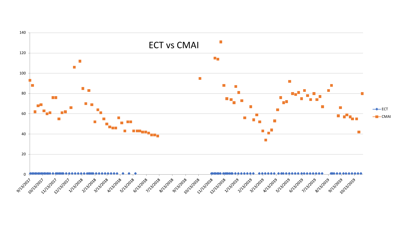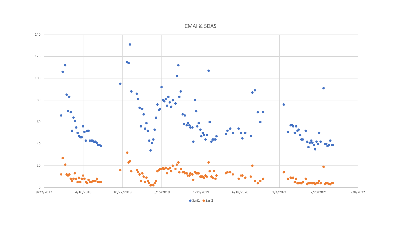CMAI & SDAS

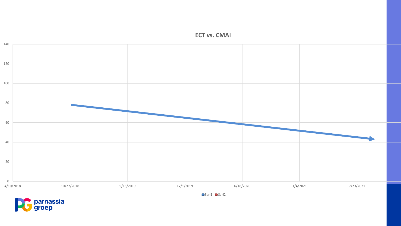



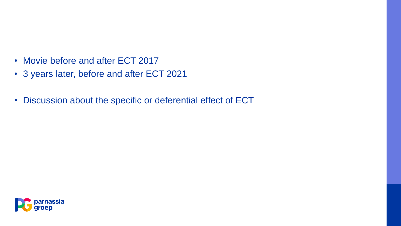- Movie before and after ECT 2017
- 3 years later, before and after ECT 2021
- Discussion about the specific or deferential effect of ECT